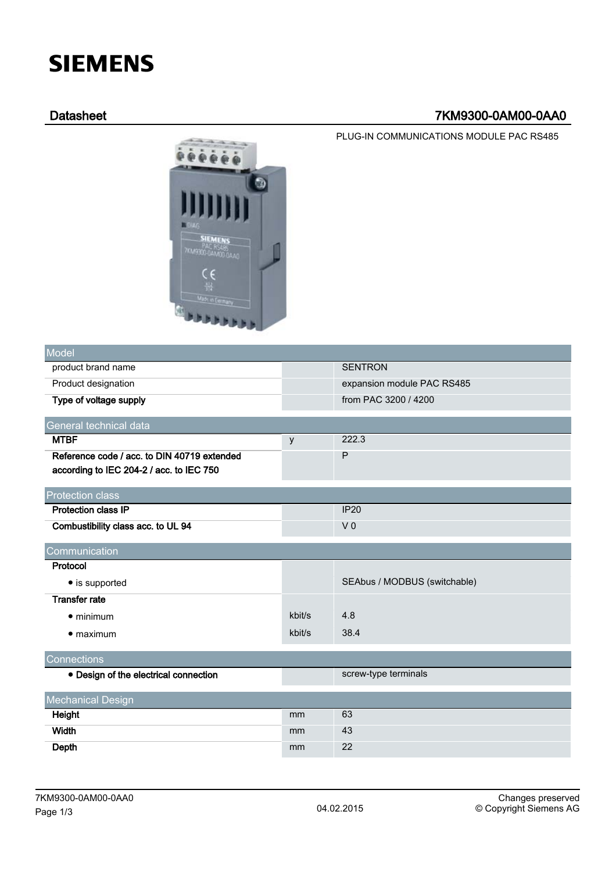# **SIEMENS**

# Datasheet 7KM9300-0AM00-0AA0

PLUG-IN COMMUNICATIONS MODULE PAC RS485



| <b>Model</b>                                |        |                              |  |  |  |  |
|---------------------------------------------|--------|------------------------------|--|--|--|--|
| product brand name                          |        | <b>SENTRON</b>               |  |  |  |  |
| Product designation                         |        | expansion module PAC RS485   |  |  |  |  |
| Type of voltage supply                      |        | from PAC 3200 / 4200         |  |  |  |  |
| General technical data                      |        |                              |  |  |  |  |
| <b>MTBF</b>                                 | y      | 222.3                        |  |  |  |  |
| Reference code / acc. to DIN 40719 extended |        | $\mathsf{P}$                 |  |  |  |  |
| according to IEC 204-2 / acc. to IEC 750    |        |                              |  |  |  |  |
| <b>Protection class</b>                     |        |                              |  |  |  |  |
| <b>Protection class IP</b>                  |        | <b>IP20</b>                  |  |  |  |  |
| Combustibility class acc. to UL 94          |        | V <sub>0</sub>               |  |  |  |  |
| Communication                               |        |                              |  |  |  |  |
| Protocol                                    |        |                              |  |  |  |  |
| • is supported                              |        | SEAbus / MODBUS (switchable) |  |  |  |  |
| <b>Transfer rate</b>                        |        |                              |  |  |  |  |
| $\bullet$ minimum                           | kbit/s | 4.8                          |  |  |  |  |
| $\bullet$ maximum                           | kbit/s | 38.4                         |  |  |  |  |
| Connections                                 |        |                              |  |  |  |  |
| • Design of the electrical connection       |        | screw-type terminals         |  |  |  |  |
| <b>Mechanical Design</b>                    |        |                              |  |  |  |  |
| Height                                      | mm     | 63                           |  |  |  |  |
| <b>Width</b>                                | mm     | 43                           |  |  |  |  |
| Depth                                       | mm     | 22                           |  |  |  |  |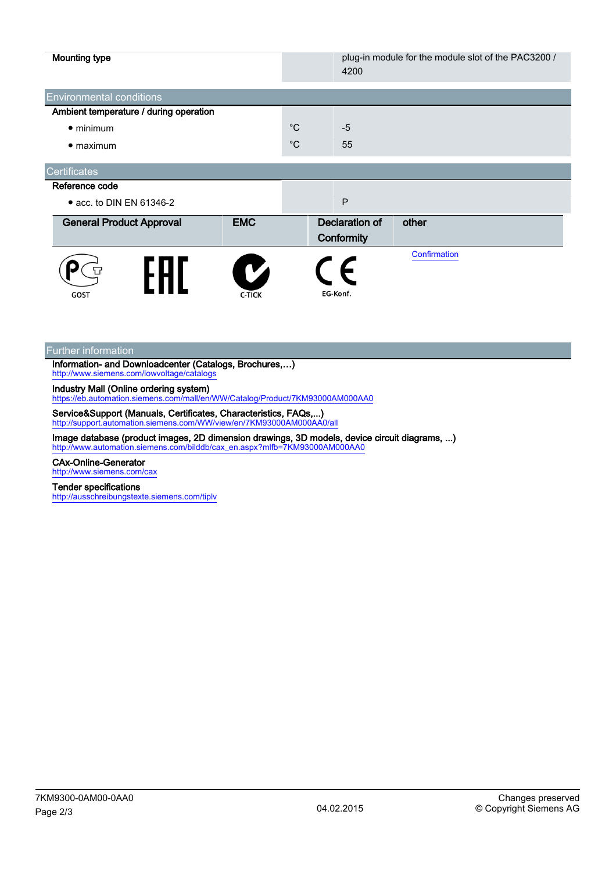| <b>Mounting type</b>                   |                    |             | 4200                                | plug-in module for the module slot of the PAC3200 / |
|----------------------------------------|--------------------|-------------|-------------------------------------|-----------------------------------------------------|
| <b>Environmental conditions</b>        |                    |             |                                     |                                                     |
| Ambient temperature / during operation |                    |             |                                     |                                                     |
| $\bullet$ minimum                      |                    | $^{\circ}C$ | $-5$                                |                                                     |
| $\bullet$ maximum                      |                    | $^{\circ}C$ | 55                                  |                                                     |
| <b>Certificates</b>                    |                    |             |                                     |                                                     |
| Reference code                         |                    |             |                                     |                                                     |
| • acc. to DIN EN 61346-2               |                    |             | P                                   |                                                     |
| <b>General Product Approval</b>        | <b>EMC</b>         |             | <b>Declaration of</b><br>Conformity | other                                               |
| GOST                                   | V<br><b>C-TICK</b> |             | E<br>EG-Konf.                       | Confirmation                                        |

Further information

Information- and Downloadcenter (Catalogs, Brochures,…) <http://www.siemens.com/lowvoltage/catalogs>

Industry Mall (Online ordering system)

<https://eb.automation.siemens.com/mall/en/WW/Catalog/Product/7KM93000AM000AA0>

Service&Support (Manuals, Certificates, Characteristics, FAQs,...) <http://support.automation.siemens.com/WW/view/en/7KM93000AM000AA0/all>

Image database (product images, 2D dimension drawings, 3D models, device circuit diagrams, ...) [http://www.automation.siemens.com/bilddb/cax\\_en.aspx?mlfb=7KM93000AM000AA0](http://www.automation.siemens.com/bilddb/cax_en.aspx?mlfb=7KM93000AM000AA0)

## CAx-Online-Generator

<http://www.siemens.com/cax>

### Tender specifications

<http://ausschreibungstexte.siemens.com/tiplv>